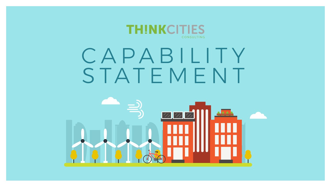### тн NIK**CITILES** CONSULTING

# CAPABILITY STATEMENT

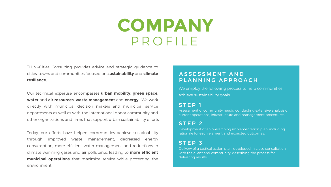## **COMPANY** PROFILE

THINKCities Consulting provides advice and strategic guidance to cities, towns and communities focused on **sustainability** and **climate resilience**.

Our technical expertise encompasses **urban mobility**, **green space**, **water** and **air resources**, **waste management** and **energy**. We work directly with municipal decision makers and municipal service departments as well as with the international donor community and other organizations and firms that support urban sustainability efforts.

Today, our efforts have helped communities achieve sustainability through improved waste management, decreased energy consumption, more efficient water management and reductions in climate warming gases and air pollutants, leading to **more efficient municipal operations** that maximize service while protecting the environment.

### STEP 1

We employ the following process to help communities achieve sustainability goals.

Assessment of community needs, conducting extensive analysis of current operations, infrastructure and management procedures.

### STEP 2

Development of an overarching implementation plan, including rationale for each element and expected outcomes.

### STEP 3

Delivery of a tactical action plan, developed in close consultation with the client and community, describing the process for delivering results.

### ASSESSMENT AND PLANNING APPROACH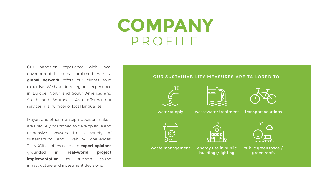Our hands-on experience with local environmental issues combined with a **global network** offers our clients solid expertise. We have deep regional experience in Europe, North and South America, and South and Southeast Asia, offering our services in a number of local languages.

Mayors and other municipal decision makers are uniquely positioned to develop agile and responsive answers to a variety of sustainability and livability challenges. THINKCities offers access to **expert opinions**  grounded in **real-world project implementation** to support sound infrastructure and investment decisions.

## **COMPANY** PROFILE







public greenspace / green roofs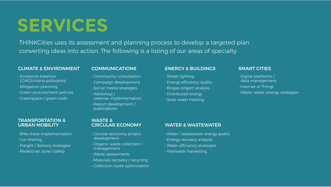## **SERVICES**

THINKCities uses its assessment and planning process to develop a targeted plan converting ideas into action. The following is a listing of our areas of specialty:

### CLIMATE & ENVIRONMENT

- Emissions baseline (GHG/criteria pollutants)
- Mitigation planning
- Green procurement policies
- Greenspace / green roofs

### COMMUNICATIONS

- Community consultation
- Campaign development
- Social media strategies
- Workshop / webinar implementation
- Report development / publications

### ENERGY & BUILDINGS

- Street lighting
- Energy efficiency audits
- Biogas project analysis
- Distributed energy
- Solar water heating

### SMART CITIES

- Digital platforms / data management
- Internet of Things
- Waste, water, energy strategies

### TRANSPORTATION & URBAN MOBILITY

- Bike share implementation
- Car-sharing
- Freight / delivery strategies
- Pedestrian zone / safety

### WASTE &

### CIRCULAR ECONOMY WATER & WASTEWATER

- Water / wastewater energy audits
- Energy recovery analysis
- Water efficiency strategies
- Rainwater harvesting

- Circular economy project development
- Organic waste collection / management
- Waste assessments
- Materials recovery / recycling
- Collection route optimization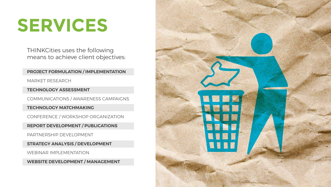# **SERVICES**

**PROJECT FORMULATION / IMPLEMENTATION**

MARKET RESEARCH

**TECHNOLOGY ASSESSMENT**

COMMUNICATIONS / AWARENESS CAMPAIGNS

**TECHNOLOGY MATCHMAKING** 

CONFERENCE / WORKSHOP ORGANIZATION

**REPORT DEVELOPMENT / PUBLICATIONS**

PARTNERSHIP DEVELOPMENT

**STRATEGY ANALYSIS / DEVELOPMENT**

WEBINAR IMPLEMENTATION

**WEBSITE DEVELOPMENT / MANAGEMENT**



THINKCities uses the following means to achieve client objectives: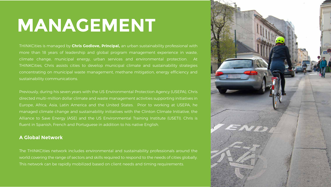## **MANAGEMENT**

THINKCities is managed by **Chris Godlove, Principal,** an urban sustainability professional with more than 18 years of leadership and global program management experience in waste, climate change, municipal energy, urban services and environmental protection. At THINKCities, Chris assists cities to develop municipal climate and sustainability strategies concentrating on municipal waste management, methane mitigation, energy efficiency and sustainability communications.

Previously, during his seven years with the US Environmental Protection Agency (USEPA), Chris directed multi-million dollar climate and waste management activities supporting initiatives in Europe, Africa, Asia, Latin America and the United States. Prior to working at USEPA, he managed climate change and sustainability initiatives with the Clinton Climate Initiative, the Alliance to Save Energy (ASE) and the US Environmental Training Institute (USETI). Chris is fluent in Spanish, French and Portuguese in addition to his native English.

### **A Global Network**

The THINKCities network includes environmental and sustainability professionals around the world covering the range of sectors and skills required to respond to the needs of cities globally. This network can be rapidly mobilized based on client needs and timing requirements.

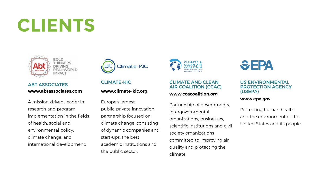## **CLIENTS**



**THINKERS** REAL-WORLD

A mission-driven, leader in research and program implementation in the fields of health, social and environmental policy, climate change, and international development.



Europe's largest public-private innovation partnership focused on climate change, consisting of dynamic companies and start-ups, the best academic institutions and the public sector.



Partnership of governm intergovernmental organizations, businesse scientific institutions an society organizations committed to improving air quality and protecting the climate.



### ABT ASSOCIATES **www.abtassociates.com**

### CLIMATE-KIC

### **www.climate-kic.org**

### **www.ccacoalition.org**

### CLIMATE AND CLEAN AIR COALITION (CCAC) US ENVIRONMENTAL PROTECTION AGENCY (USEPA)

| ents,    |                               |
|----------|-------------------------------|
|          | Protecting human health       |
| еs.      | and the environment of the    |
| id civil | United States and its people. |
|          |                               |

### **www.epa.gov**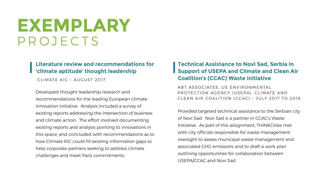## **EXEMPLARY** PROJECTS

### **Technical Assistance to Novi Sad, Serbia in Support of USEPA and Climate and Clean Air Coalition's (CCAC) Waste Initiative**

Provided targeted technical assistance to the Serbian city of Novi Sad. Novi Sad is a partner in CCAC's Waste Initiative. As part of this assignment, THINKCities met with city officials responsible for waste management oversight to assess municipal waste management and associated GHG emissions and to draft a work plan outlining opportunities for collaboration between USEPA/CCAC and Novi Sad.

ABT ASSOCIATES, US ENVIRONMENTAL PROTECTION AGENCY (USEPA), CLIMATE AND CLEAN AIR COALITION (CCAC) – JULY 2017 TO 2018

### **Literature review and recommendations for 'climate aptitude' thought leadership**

Developed thought leadership research and recommendations for the leading European climate innovation initiative. Analysis included a survey of existing reports addressing the intersection of business and climate action. The effort involved documenting existing reports and analysis pointing to innovations in this space, and concluded with recommendations as to how Climate KIC could fill existing information gaps to help corporate partners seeking to address climate challenges and meet Paris commitments.

CLIMATE KIC – AUGUST 2017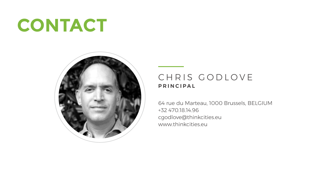## **CONTACT**



64 rue du Marteau, 1000 Brussels, BELGIUM +32 470.18.14.96 cgodlove@thinkcities.eu www.thinkcities.eu

### CHRIS GODLOVE **PRINCIPAL**